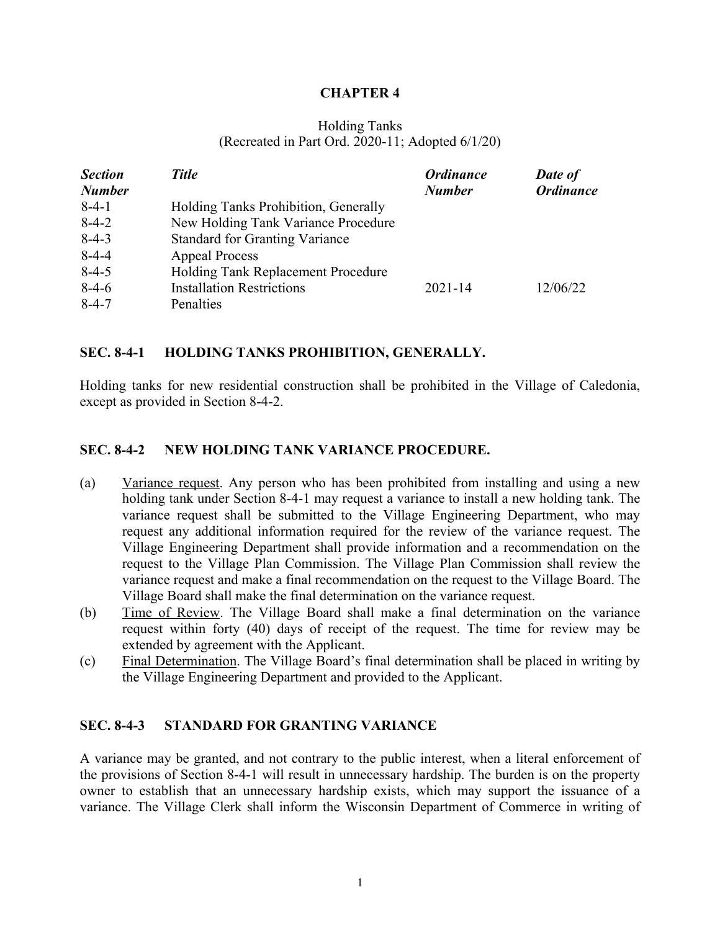## **CHAPTER 4**

#### Holding Tanks (Recreated in Part Ord. 2020-11; Adopted 6/1/20)

| <b>Section</b> | <b>Title</b>                          | <b>Ordinance</b> | Date of          |
|----------------|---------------------------------------|------------------|------------------|
| <b>Number</b>  |                                       | <b>Number</b>    | <b>Ordinance</b> |
| $8-4-1$        | Holding Tanks Prohibition, Generally  |                  |                  |
| $8-4-2$        | New Holding Tank Variance Procedure   |                  |                  |
| $8-4-3$        | <b>Standard for Granting Variance</b> |                  |                  |
| $8-4-4$        | <b>Appeal Process</b>                 |                  |                  |
| $8-4-5$        | Holding Tank Replacement Procedure    |                  |                  |
| $8-4-6$        | <b>Installation Restrictions</b>      | $2021 - 14$      | 12/06/22         |
| $8 - 4 - 7$    | Penalties                             |                  |                  |

## **SEC. 8-4-1 HOLDING TANKS PROHIBITION, GENERALLY.**

Holding tanks for new residential construction shall be prohibited in the Village of Caledonia, except as provided in Section 8-4-2.

## **SEC. 8-4-2 NEW HOLDING TANK VARIANCE PROCEDURE.**

- (a) Variance request. Any person who has been prohibited from installing and using a new holding tank under Section 8-4-1 may request a variance to install a new holding tank. The variance request shall be submitted to the Village Engineering Department, who may request any additional information required for the review of the variance request. The Village Engineering Department shall provide information and a recommendation on the request to the Village Plan Commission. The Village Plan Commission shall review the variance request and make a final recommendation on the request to the Village Board. The Village Board shall make the final determination on the variance request.
- (b) Time of Review. The Village Board shall make a final determination on the variance request within forty (40) days of receipt of the request. The time for review may be extended by agreement with the Applicant.
- (c) Final Determination. The Village Board's final determination shall be placed in writing by the Village Engineering Department and provided to the Applicant.

#### **SEC. 8-4-3 STANDARD FOR GRANTING VARIANCE**

A variance may be granted, and not contrary to the public interest, when a literal enforcement of the provisions of Section 8-4-1 will result in unnecessary hardship. The burden is on the property owner to establish that an unnecessary hardship exists, which may support the issuance of a variance. The Village Clerk shall inform the Wisconsin Department of Commerce in writing of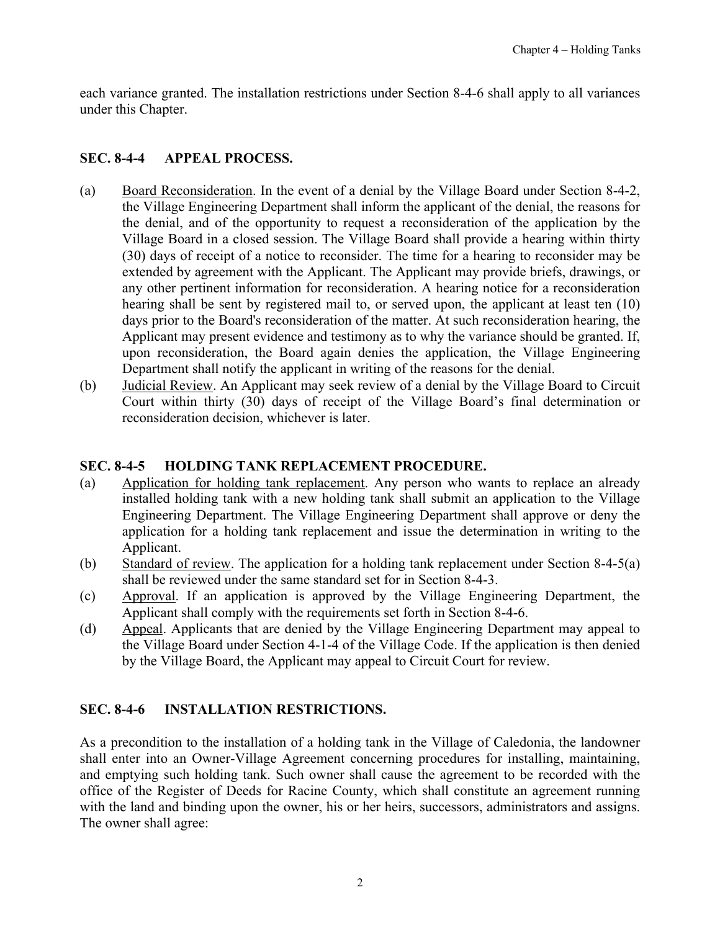<span id="page-1-0"></span>each variance granted. The installation restrictions under Section 8-4-6 shall apply to all variances under this Chapter.

# **SEC. 8-4-4 APPEAL PROCESS.**

- (a) Board Reconsideration. In the event of a denial by the Village Board under Section 8-4-2, the Village Engineering Department shall inform the applicant of the denial, the reasons for the denial, and of the opportunity to request a reconsideration of the application by the Village Board in a closed session. The Village Board shall provide a hearing within thirty (30) days of receipt of a notice to reconsider. The time for a hearing to reconsider may be extended by agreement with the Applicant. The Applicant may provide briefs, drawings, or any other pertinent information for reconsideration. A hearing notice for a reconsideration hearing shall be sent by registered mail to, or served upon, the applicant at least ten (10) days prior to the Board's reconsideration of the matter. At such reconsideration hearing, the Applicant may present evidence and testimony as to why the variance should be granted. If, upon reconsideration, the Board again denies the application, the Village Engineering Department shall notify the applicant in writing of the reasons for the denial.
- (b) Judicial Review. An Applicant may seek review of a denial by the Village Board to Circuit Court within thirty (30) days of receipt of the Village Board's final determination or reconsideration decision, whichever is later.

# **SEC. 8-4-5 HOLDING TANK REPLACEMENT PROCEDURE.**

- (a) Application for holding tank replacement. Any person who wants to replace an already installed holding tank with a new holding tank shall submit an application to the Village Engineering Department. The Village Engineering Department shall approve or deny the application for a holding tank replacement and issue the determination in writing to the Applicant.
- (b) Standard of review. The application for a holding tank replacement under Section 8-4-5(a) shall be reviewed under the same standard set for in Section 8-4-3.
- (c) Approval. If an application is approved by the Village Engineering Department, the Applicant shall comply with the requirements set forth in Section 8-4-6.
- (d) Appeal. Applicants that are denied by the Village Engineering Department may appeal to the Village Board under Section 4-1-4 of the Village Code. If the application is then denied by the Village Board, the Applicant may appeal to Circuit Court for review.

# **SEC. 8-4-6 INSTALLATION RESTRICTIONS.**

As a precondition to the installation of a holding tank in the Village of Caledonia, the landowner shall enter into an Owner-Village Agreement concerning procedures for installing, maintaining, and emptying such holding tank. Such owner shall cause the agreement to be recorded with the office of the Register of Deeds for Racine County, which shall constitute an agreement running with the land and binding upon the owner, his or her heirs, successors, administrators and assigns. The owner shall agree: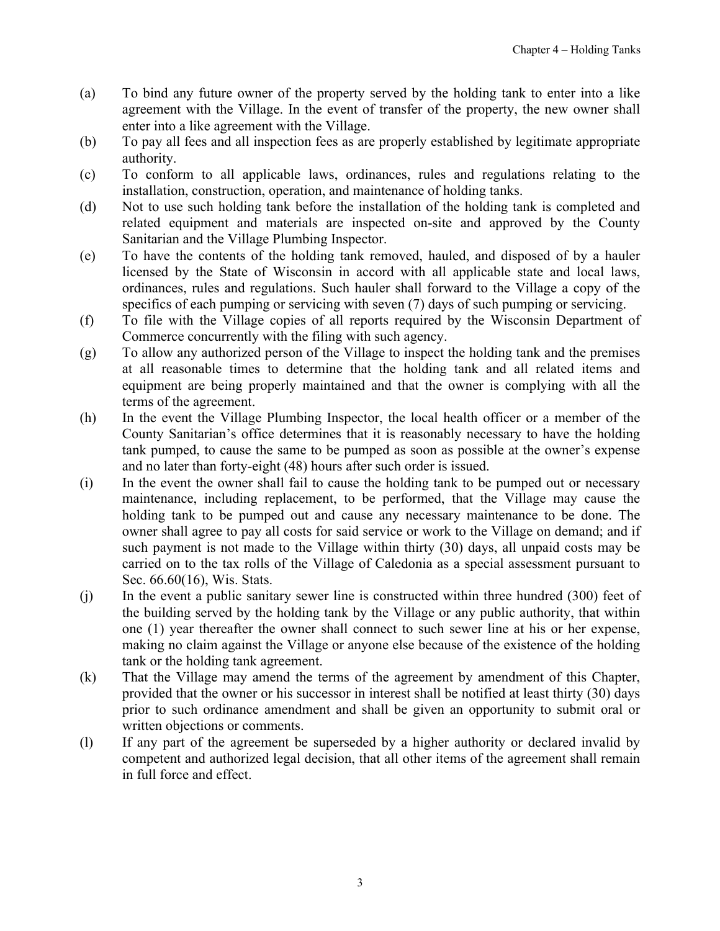- (a) To bind any future owner of the property served by the holding tank to enter into a like agreement with the Village. In the event of transfer of the property, the new owner shall enter into a like agreement with the Village.
- (b) To pay all fees and all inspection fees as are properly established by legitimate appropriate authority.
- (c) To conform to all applicable laws, ordinances, rules and regulations relating to the installation, construction, operation, and maintenance of holding tanks.
- (d) Not to use such holding tank before the installation of the holding tank is completed and related equipment and materials are inspected on-site and approved by the County Sanitarian and the Village Plumbing Inspector.
- (e) To have the contents of the holding tank removed, hauled, and disposed of by a hauler licensed by the State of Wisconsin in accord with all applicable state and local laws, ordinances, rules and regulations. Such hauler shall forward to the Village a copy of the specifics of each pumping or servicing with seven (7) days of such pumping or servicing.
- (f) To file with the Village copies of all reports required by the Wisconsin Department of Commerce concurrently with the filing with such agency.
- (g) To allow any authorized person of the Village to inspect the holding tank and the premises at all reasonable times to determine that the holding tank and all related items and equipment are being properly maintained and that the owner is complying with all the terms of the agreement.
- (h) In the event the Village Plumbing Inspector, the local health officer or a member of the County Sanitarian's office determines that it is reasonably necessary to have the holding tank pumped, to cause the same to be pumped as soon as possible at the owner's expense and no later than forty-eight (48) hours after such order is issued.
- (i) In the event the owner shall fail to cause the holding tank to be pumped out or necessary maintenance, including replacement, to be performed, that the Village may cause the holding tank to be pumped out and cause any necessary maintenance to be done. The owner shall agree to pay all costs for said service or work to the Village on demand; and if such payment is not made to the Village within thirty (30) days, all unpaid costs may be carried on to the tax rolls of the Village of Caledonia as a special assessment pursuant to Sec. 66.60(16), Wis. Stats.
- (j) In the event a public sanitary sewer line is constructed within three hundred (300) feet of the building served by the holding tank by the Village or any public authority, that within one (1) year thereafter the owner shall connect to such sewer line at his or her expense, making no claim against the Village or anyone else because of the existence of the holding tank or the holding tank agreement.
- (k) That the Village may amend the terms of the agreement by amendment of this Chapter, provided that the owner or his successor in interest shall be notified at least thirty (30) days prior to such ordinance amendment and shall be given an opportunity to submit oral or written objections or comments.
- (l) If any part of the agreement be superseded by a higher authority or declared invalid by competent and authorized legal decision, that all other items of the agreement shall remain in full force and effect.